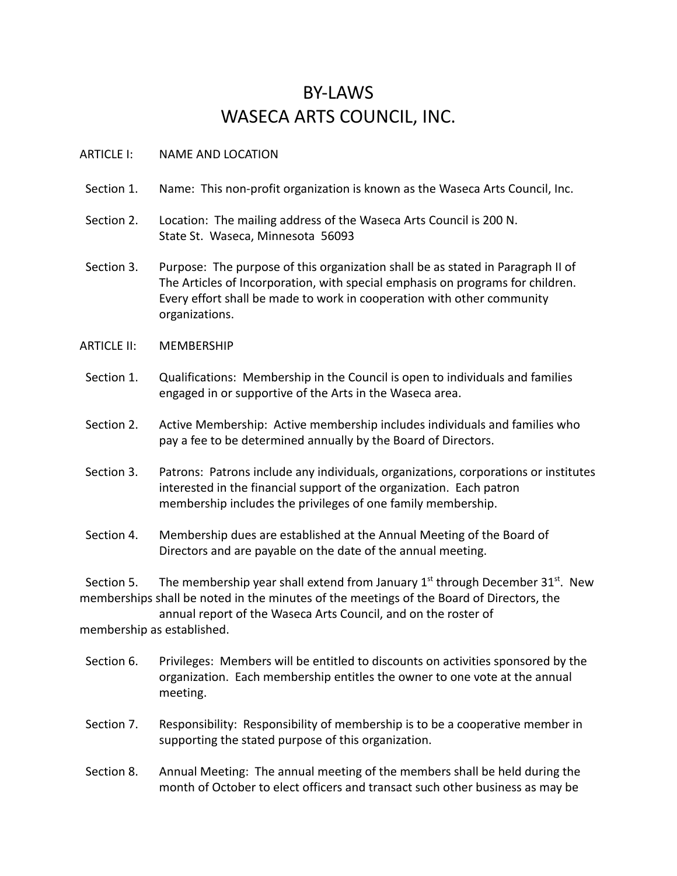## BY-LAWS WASECA ARTS COUNCIL, INC.

## ARTICLE I: NAME AND LOCATION

- Section 1. Name: This non-profit organization is known as the Waseca Arts Council, Inc.
- Section 2. Location: The mailing address of the Waseca Arts Council is 200 N. State St. Waseca, Minnesota 56093
- Section 3. Purpose: The purpose of this organization shall be as stated in Paragraph II of The Articles of Incorporation, with special emphasis on programs for children. Every effort shall be made to work in cooperation with other community organizations.
- ARTICLE II: MEMBERSHIP
- Section 1. Qualifications: Membership in the Council is open to individuals and families engaged in or supportive of the Arts in the Waseca area.
- Section 2. Active Membership: Active membership includes individuals and families who pay a fee to be determined annually by the Board of Directors.
- Section 3. Patrons: Patrons include any individuals, organizations, corporations or institutes interested in the financial support of the organization. Each patron membership includes the privileges of one family membership.
- Section 4. Membership dues are established at the Annual Meeting of the Board of Directors and are payable on the date of the annual meeting.

Section 5. The membership year shall extend from January  $1<sup>st</sup>$  through December 31 $<sup>st</sup>$ . New</sup> memberships shall be noted in the minutes of the meetings of the Board of Directors, the

annual report of the Waseca Arts Council, and on the roster of membership as established.

- Section 6. Privileges: Members will be entitled to discounts on activities sponsored by the organization. Each membership entitles the owner to one vote at the annual meeting.
- Section 7. Responsibility: Responsibility of membership is to be a cooperative member in supporting the stated purpose of this organization.
- Section 8. Annual Meeting: The annual meeting of the members shall be held during the month of October to elect officers and transact such other business as may be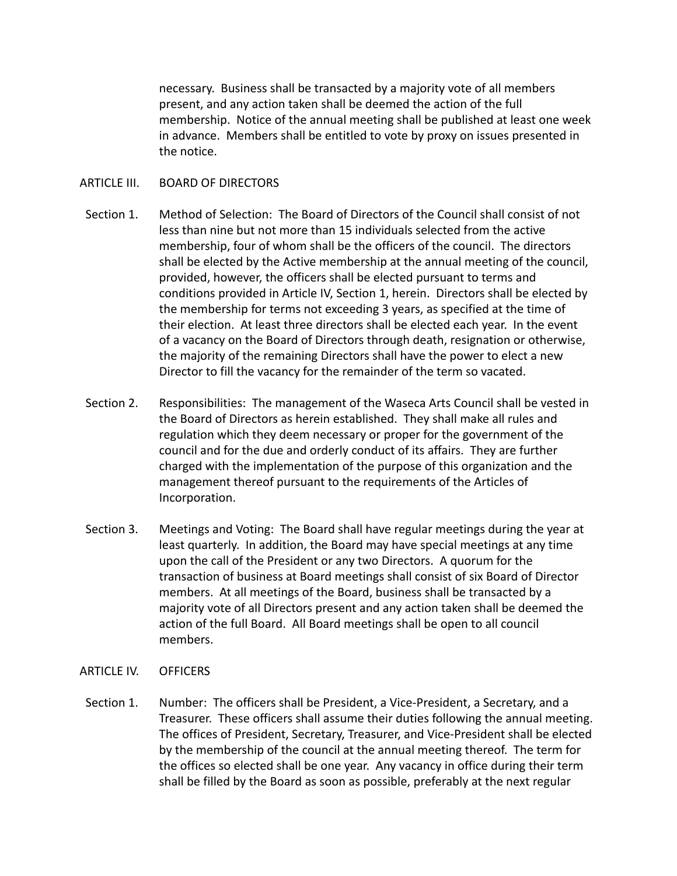necessary. Business shall be transacted by a majority vote of all members present, and any action taken shall be deemed the action of the full membership. Notice of the annual meeting shall be published at least one week in advance. Members shall be entitled to vote by proxy on issues presented in the notice.

## ARTICLE III. BOARD OF DIRECTORS

- Section 1. Method of Selection: The Board of Directors of the Council shall consist of not less than nine but not more than 15 individuals selected from the active membership, four of whom shall be the officers of the council. The directors shall be elected by the Active membership at the annual meeting of the council, provided, however, the officers shall be elected pursuant to terms and conditions provided in Article IV, Section 1, herein. Directors shall be elected by the membership for terms not exceeding 3 years, as specified at the time of their election. At least three directors shall be elected each year. In the event of a vacancy on the Board of Directors through death, resignation or otherwise, the majority of the remaining Directors shall have the power to elect a new Director to fill the vacancy for the remainder of the term so vacated.
- Section 2. Responsibilities: The management of the Waseca Arts Council shall be vested in the Board of Directors as herein established. They shall make all rules and regulation which they deem necessary or proper for the government of the council and for the due and orderly conduct of its affairs. They are further charged with the implementation of the purpose of this organization and the management thereof pursuant to the requirements of the Articles of Incorporation.
- Section 3. Meetings and Voting: The Board shall have regular meetings during the year at least quarterly. In addition, the Board may have special meetings at any time upon the call of the President or any two Directors. A quorum for the transaction of business at Board meetings shall consist of six Board of Director members. At all meetings of the Board, business shall be transacted by a majority vote of all Directors present and any action taken shall be deemed the action of the full Board. All Board meetings shall be open to all council members.
- ARTICLE IV. OFFICERS
- Section 1. Number: The officers shall be President, a Vice-President, a Secretary, and a Treasurer. These officers shall assume their duties following the annual meeting. The offices of President, Secretary, Treasurer, and Vice-President shall be elected by the membership of the council at the annual meeting thereof. The term for the offices so elected shall be one year. Any vacancy in office during their term shall be filled by the Board as soon as possible, preferably at the next regular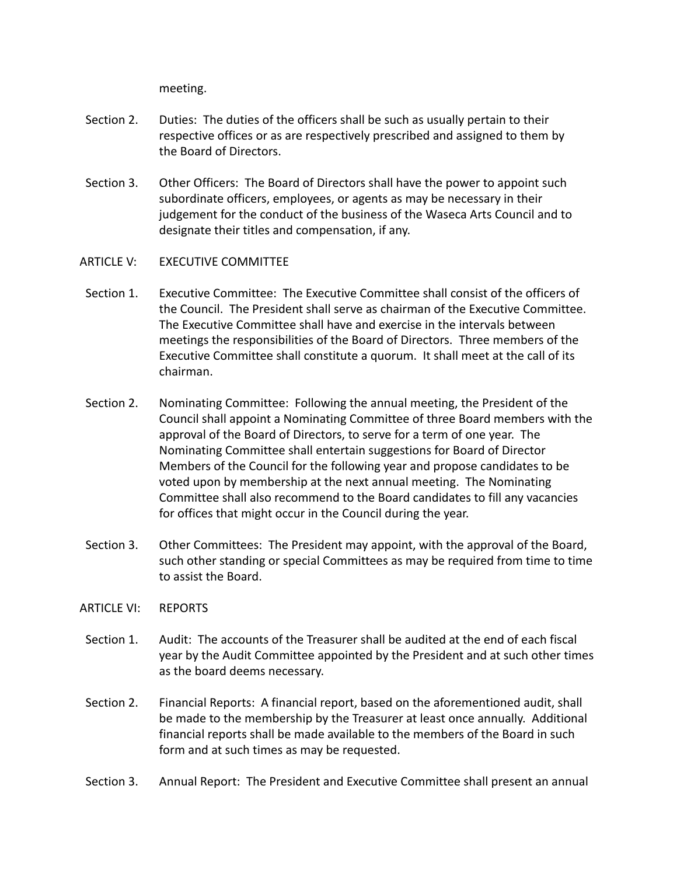meeting.

- Section 2. Duties: The duties of the officers shall be such as usually pertain to their respective offices or as are respectively prescribed and assigned to them by the Board of Directors.
- Section 3. Other Officers: The Board of Directors shall have the power to appoint such subordinate officers, employees, or agents as may be necessary in their judgement for the conduct of the business of the Waseca Arts Council and to designate their titles and compensation, if any.
- ARTICLE V: EXECUTIVE COMMITTEE
- Section 1. Executive Committee: The Executive Committee shall consist of the officers of the Council. The President shall serve as chairman of the Executive Committee. The Executive Committee shall have and exercise in the intervals between meetings the responsibilities of the Board of Directors. Three members of the Executive Committee shall constitute a quorum. It shall meet at the call of its chairman.
- Section 2. Nominating Committee: Following the annual meeting, the President of the Council shall appoint a Nominating Committee of three Board members with the approval of the Board of Directors, to serve for a term of one year. The Nominating Committee shall entertain suggestions for Board of Director Members of the Council for the following year and propose candidates to be voted upon by membership at the next annual meeting. The Nominating Committee shall also recommend to the Board candidates to fill any vacancies for offices that might occur in the Council during the year.
- Section 3. Other Committees: The President may appoint, with the approval of the Board, such other standing or special Committees as may be required from time to time to assist the Board.
- ARTICLE VI: REPORTS
- Section 1. Audit: The accounts of the Treasurer shall be audited at the end of each fiscal year by the Audit Committee appointed by the President and at such other times as the board deems necessary.
- Section 2. Financial Reports: A financial report, based on the aforementioned audit, shall be made to the membership by the Treasurer at least once annually. Additional financial reports shall be made available to the members of the Board in such form and at such times as may be requested.
- Section 3. Annual Report: The President and Executive Committee shall present an annual